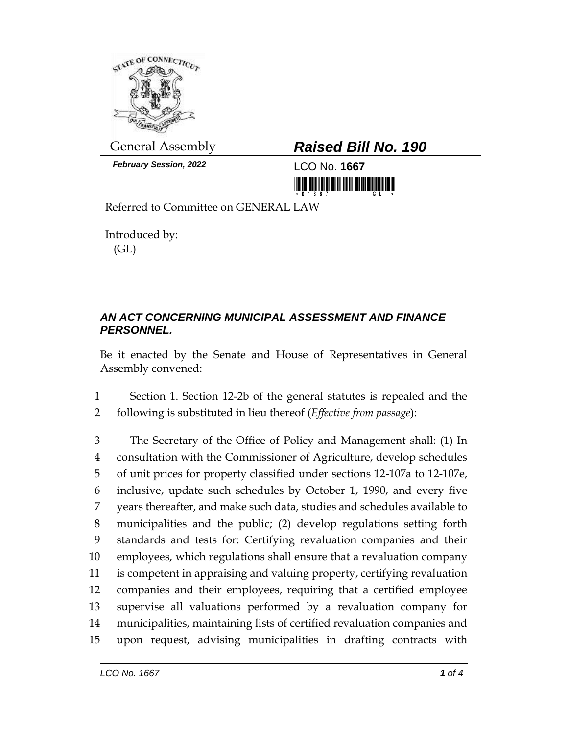

*February Session, 2022* LCO No. **1667**

## General Assembly *Raised Bill No. 190*

<u> III MARIJI III MARIJI III MARIJI III MARIJI III MARIJI III MARIJI III MARIJI III MARIJI III MARIJI III MARIJI </u>

Referred to Committee on GENERAL LAW

Introduced by: (GL)

## *AN ACT CONCERNING MUNICIPAL ASSESSMENT AND FINANCE PERSONNEL.*

Be it enacted by the Senate and House of Representatives in General Assembly convened:

1 Section 1. Section 12-2b of the general statutes is repealed and the 2 following is substituted in lieu thereof (*Effective from passage*):

 The Secretary of the Office of Policy and Management shall: (1) In consultation with the Commissioner of Agriculture, develop schedules of unit prices for property classified under sections 12-107a to 12-107e, inclusive, update such schedules by October 1, 1990, and every five years thereafter, and make such data, studies and schedules available to municipalities and the public; (2) develop regulations setting forth standards and tests for: Certifying revaluation companies and their employees, which regulations shall ensure that a revaluation company is competent in appraising and valuing property, certifying revaluation companies and their employees, requiring that a certified employee supervise all valuations performed by a revaluation company for municipalities, maintaining lists of certified revaluation companies and upon request, advising municipalities in drafting contracts with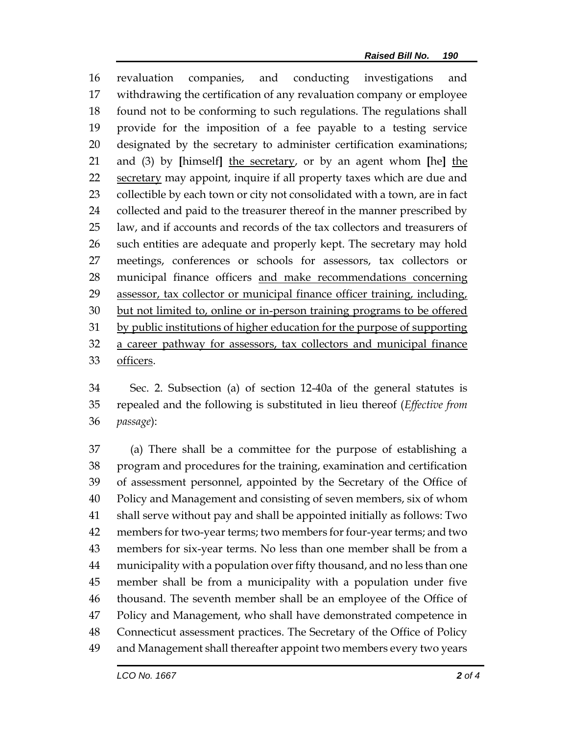revaluation companies, and conducting investigations and withdrawing the certification of any revaluation company or employee found not to be conforming to such regulations. The regulations shall provide for the imposition of a fee payable to a testing service designated by the secretary to administer certification examinations; and (3) by **[**himself**]** the secretary, or by an agent whom **[**he**]** the 22 secretary may appoint, inquire if all property taxes which are due and collectible by each town or city not consolidated with a town, are in fact 24 collected and paid to the treasurer thereof in the manner prescribed by law, and if accounts and records of the tax collectors and treasurers of such entities are adequate and properly kept. The secretary may hold meetings, conferences or schools for assessors, tax collectors or municipal finance officers and make recommendations concerning assessor, tax collector or municipal finance officer training, including, but not limited to, online or in-person training programs to be offered by public institutions of higher education for the purpose of supporting a career pathway for assessors, tax collectors and municipal finance officers.

 Sec. 2. Subsection (a) of section 12-40a of the general statutes is repealed and the following is substituted in lieu thereof (*Effective from passage*):

 (a) There shall be a committee for the purpose of establishing a program and procedures for the training, examination and certification of assessment personnel, appointed by the Secretary of the Office of Policy and Management and consisting of seven members, six of whom shall serve without pay and shall be appointed initially as follows: Two members for two-year terms; two members for four-year terms; and two members for six-year terms. No less than one member shall be from a municipality with a population over fifty thousand, and no less than one member shall be from a municipality with a population under five thousand. The seventh member shall be an employee of the Office of Policy and Management, who shall have demonstrated competence in Connecticut assessment practices. The Secretary of the Office of Policy and Management shall thereafter appoint two members every two years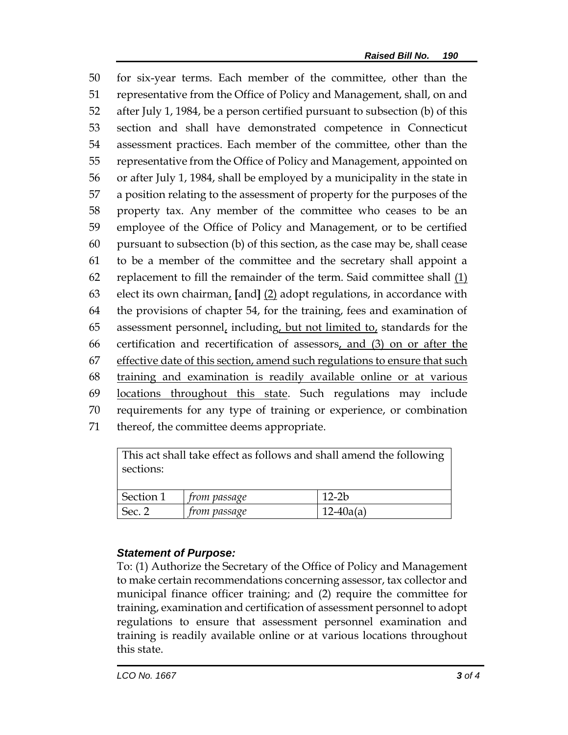for six-year terms. Each member of the committee, other than the representative from the Office of Policy and Management, shall, on and after July 1, 1984, be a person certified pursuant to subsection (b) of this section and shall have demonstrated competence in Connecticut assessment practices. Each member of the committee, other than the representative from the Office of Policy and Management, appointed on or after July 1, 1984, shall be employed by a municipality in the state in a position relating to the assessment of property for the purposes of the property tax. Any member of the committee who ceases to be an employee of the Office of Policy and Management, or to be certified pursuant to subsection (b) of this section, as the case may be, shall cease to be a member of the committee and the secretary shall appoint a replacement to fill the remainder of the term. Said committee shall (1) elect its own chairman, **[**and**]** (2) adopt regulations, in accordance with the provisions of chapter 54, for the training, fees and examination of 65 assessment personnel, including, but not limited to, standards for the certification and recertification of assessors, and (3) on or after the 67 effective date of this section, amend such regulations to ensure that such training and examination is readily available online or at various locations throughout this state. Such regulations may include requirements for any type of training or experience, or combination thereof, the committee deems appropriate.

| This act shall take effect as follows and shall amend the following |                     |             |
|---------------------------------------------------------------------|---------------------|-------------|
| sections:                                                           |                     |             |
|                                                                     |                     |             |
| Section 1                                                           | <i>from passage</i> | $12-2b$     |
| Sec. 2                                                              | <i>from passage</i> | $12-40a(a)$ |

## *Statement of Purpose:*

To: (1) Authorize the Secretary of the Office of Policy and Management to make certain recommendations concerning assessor, tax collector and municipal finance officer training; and (2) require the committee for training, examination and certification of assessment personnel to adopt regulations to ensure that assessment personnel examination and training is readily available online or at various locations throughout this state.